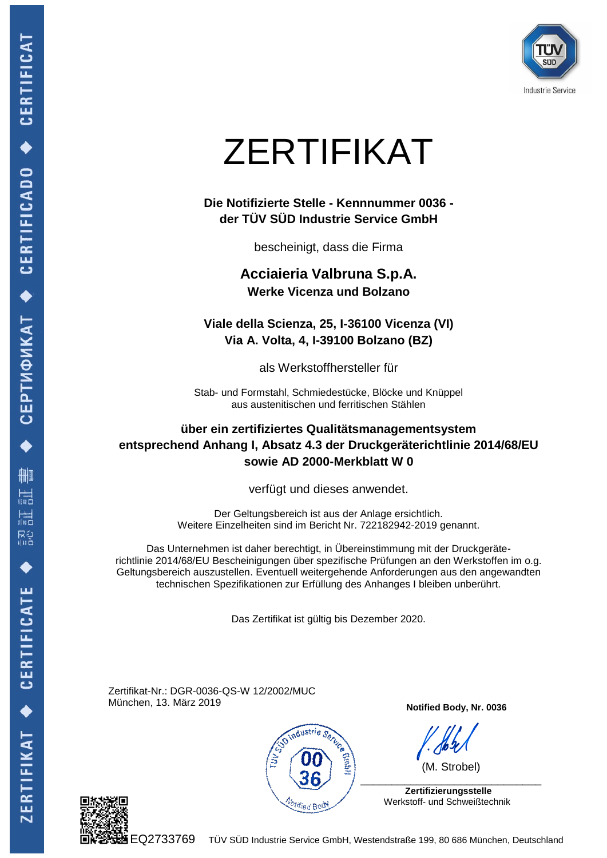

# ZERTIFIKAT

#### **Die Notifizierte Stelle - Kennnummer 0036 der TÜV SÜD Industrie Service GmbH**

bescheinigt, dass die Firma

**Acciaieria Valbruna S.p.A. Werke Vicenza und Bolzano**

**Viale della Scienza, 25, I-36100 Vicenza (VI) Via A. Volta, 4, I-39100 Bolzano (BZ)**

als Werkstoffhersteller für

Stab- und Formstahl, Schmiedestücke, Blöcke und Knüppel aus austenitischen und ferritischen Stählen

#### **über ein zertifiziertes Qualitätsmanagementsystem entsprechend Anhang I, Absatz 4.3 der Druckgeräterichtlinie 2014/68/EU sowie AD 2000-Merkblatt W 0**

verfügt und dieses anwendet.

Der Geltungsbereich ist aus der Anlage ersichtlich. Weitere Einzelheiten sind im Bericht Nr. 722182942-2019 genannt.

Das Unternehmen ist daher berechtigt, in Übereinstimmung mit der Druckgeräterichtlinie 2014/68/EU Bescheinigungen über spezifische Prüfungen an den Werkstoffen im o.g. Geltungsbereich auszustellen. Eventuell weitergehende Anforderungen aus den angewandten technischen Spezifikationen zur Erfüllung des Anhanges I bleiben unberührt.

Das Zertifikat ist gültig bis Dezember 2020.

Zertifikat-Nr.: DGR-0036-QS-W 12/2002/MUC München, 13. März 2019



**Notified Body, Nr. 0036**

(M. Strobel)

 **Zertifizierungsstelle** Werkstoff- und Schweißtechnik